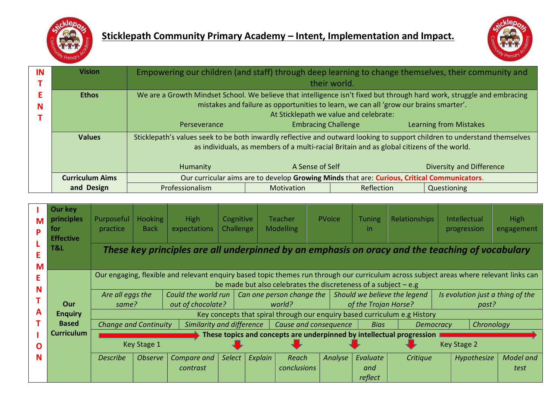



| IN | <b>Vision</b>          | Empowering our children (and staff) through deep learning to change themselves, their community and<br>their world.       |                                                                                             |            |                        |  |  |  |  |  |  |  |
|----|------------------------|---------------------------------------------------------------------------------------------------------------------------|---------------------------------------------------------------------------------------------|------------|------------------------|--|--|--|--|--|--|--|
|    |                        |                                                                                                                           |                                                                                             |            |                        |  |  |  |  |  |  |  |
|    | <b>Ethos</b>           | We are a Growth Mindset School. We believe that intelligence isn't fixed but through hard work, struggle and embracing    |                                                                                             |            |                        |  |  |  |  |  |  |  |
| N  |                        | mistakes and failure as opportunities to learn, we can all 'grow our brains smarter'.                                     |                                                                                             |            |                        |  |  |  |  |  |  |  |
|    |                        | At Sticklepath we value and celebrate:                                                                                    |                                                                                             |            |                        |  |  |  |  |  |  |  |
|    |                        | Perseverance                                                                                                              | <b>Embracing Challenge</b>                                                                  |            | Learning from Mistakes |  |  |  |  |  |  |  |
|    | <b>Values</b>          | Sticklepath's values seek to be both inwardly reflective and outward looking to support children to understand themselves |                                                                                             |            |                        |  |  |  |  |  |  |  |
|    |                        | as individuals, as members of a multi-racial Britain and as global citizens of the world.                                 |                                                                                             |            |                        |  |  |  |  |  |  |  |
|    |                        |                                                                                                                           |                                                                                             |            |                        |  |  |  |  |  |  |  |
|    |                        | Humanity                                                                                                                  | <b>Diversity and Difference</b>                                                             |            |                        |  |  |  |  |  |  |  |
|    | <b>Curriculum Aims</b> |                                                                                                                           | Our curricular aims are to develop Growing Minds that are: Curious, Critical Communicators. |            |                        |  |  |  |  |  |  |  |
|    | and Design             | <b>Professionalism</b>                                                                                                    | Motivation                                                                                  | Reflection | Questioning            |  |  |  |  |  |  |  |

| M<br>D                                                                                                      | Our key<br>principles<br>tor<br><b>Effective</b> | Purposeful<br>practice                                                                                                                                                                                       | <b>Hooking</b><br><b>Back</b>                                         | <b>High</b><br>expectations              | Cognitive<br>Challenge |                                                                                                     | <b>Teacher</b><br><b>Modelling</b> | <b>PVoice</b> | <b>Tuning</b><br>-in | <b>Relationships</b> | Intellectual<br>progression               | <b>High</b><br>engagement |  |
|-------------------------------------------------------------------------------------------------------------|--------------------------------------------------|--------------------------------------------------------------------------------------------------------------------------------------------------------------------------------------------------------------|-----------------------------------------------------------------------|------------------------------------------|------------------------|-----------------------------------------------------------------------------------------------------|------------------------------------|---------------|----------------------|----------------------|-------------------------------------------|---------------------------|--|
| T&L<br>These key principles are all underpinned by an emphasis on oracy and the teaching of vocabulary<br>М |                                                  |                                                                                                                                                                                                              |                                                                       |                                          |                        |                                                                                                     |                                    |               |                      |                      |                                           |                           |  |
|                                                                                                             |                                                  | Our engaging, flexible and relevant enquiry based topic themes run through our curriculum across subject areas where relevant links can<br>be made but also celebrates the discreteness of a subject $-e.g.$ |                                                                       |                                          |                        |                                                                                                     |                                    |               |                      |                      |                                           |                           |  |
|                                                                                                             | Our                                              | Are all eggs the<br>same?                                                                                                                                                                                    |                                                                       | Could the world run<br>out of chocolate? |                        | Should we believe the legend<br>Can one person change the $\vert$<br>of the Trojan Horse?<br>world? |                                    |               |                      |                      | Is evolution just a thing of the<br>past? |                           |  |
| А                                                                                                           | <b>Enquiry</b>                                   |                                                                                                                                                                                                              |                                                                       |                                          |                        | Key concepts that spiral through our enquiry based curriculum e.g History                           |                                    |               |                      |                      |                                           |                           |  |
|                                                                                                             | <b>Based</b>                                     | <b>Change and Continuity</b>                                                                                                                                                                                 |                                                                       | Similarity and difference                |                        |                                                                                                     | Cause and consequence              |               | <b>Bias</b>          | <b>Democracy</b>     | Chronology                                |                           |  |
|                                                                                                             | <b>Curriculum</b>                                |                                                                                                                                                                                                              | These topics and concepts are underpinned by intellectual progression |                                          |                        |                                                                                                     |                                    |               |                      |                      |                                           |                           |  |
| n                                                                                                           |                                                  |                                                                                                                                                                                                              | Key Stage 1                                                           |                                          |                        |                                                                                                     |                                    |               | Key Stage 2          |                      |                                           |                           |  |
| N                                                                                                           |                                                  | <b>Describe</b>                                                                                                                                                                                              | <i><b>Observe</b></i>                                                 | Compare and                              | <b>Select</b>          | Explain                                                                                             | Reach                              | Analyse       | Evaluate             | Critique             | Hypothesize                               | Model and                 |  |
|                                                                                                             |                                                  |                                                                                                                                                                                                              |                                                                       | contrast                                 |                        |                                                                                                     | conclusions                        |               | and<br>reflect       |                      |                                           | test                      |  |